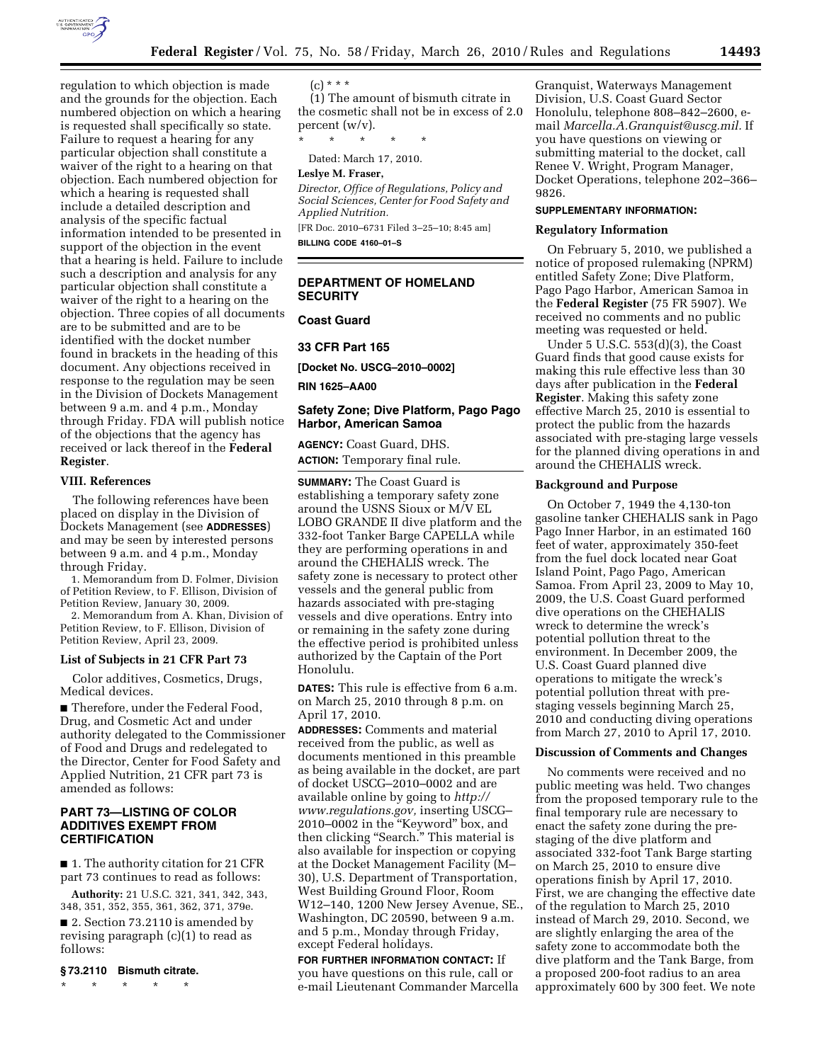

regulation to which objection is made and the grounds for the objection. Each numbered objection on which a hearing is requested shall specifically so state. Failure to request a hearing for any particular objection shall constitute a waiver of the right to a hearing on that objection. Each numbered objection for which a hearing is requested shall include a detailed description and analysis of the specific factual information intended to be presented in support of the objection in the event that a hearing is held. Failure to include such a description and analysis for any particular objection shall constitute a waiver of the right to a hearing on the objection. Three copies of all documents are to be submitted and are to be identified with the docket number found in brackets in the heading of this document. Any objections received in response to the regulation may be seen in the Division of Dockets Management between 9 a.m. and 4 p.m., Monday through Friday. FDA will publish notice of the objections that the agency has received or lack thereof in the **Federal Register**.

#### **VIII. References**

The following references have been placed on display in the Division of Dockets Management (see **ADDRESSES**) and may be seen by interested persons between 9 a.m. and 4 p.m., Monday through Friday.

1. Memorandum from D. Folmer, Division of Petition Review, to F. Ellison, Division of Petition Review, January 30, 2009.

2. Memorandum from A. Khan, Division of Petition Review, to F. Ellison, Division of Petition Review, April 23, 2009.

#### **List of Subjects in 21 CFR Part 73**

Color additives, Cosmetics, Drugs, Medical devices.

■ Therefore, under the Federal Food, Drug, and Cosmetic Act and under authority delegated to the Commissioner of Food and Drugs and redelegated to the Director, Center for Food Safety and Applied Nutrition, 21 CFR part 73 is amended as follows:

## **PART 73—LISTING OF COLOR ADDITIVES EXEMPT FROM CERTIFICATION**

■ 1. The authority citation for 21 CFR part 73 continues to read as follows:

**Authority:** 21 U.S.C. 321, 341, 342, 343, 348, 351, 352, 355, 361, 362, 371, 379e.

■ 2. Section 73.2110 is amended by revising paragraph (c)(1) to read as follows:

#### **§ 73.2110 Bismuth citrate.**

\* \* \* \* \*

### $(c) * * * *$

(1) The amount of bismuth citrate in the cosmetic shall not be in excess of 2.0 percent (w/v).

\* \* \* \* \*

Dated: March 17, 2010.

**Leslye M. Fraser,** 

*Director, Office of Regulations, Policy and Social Sciences, Center for Food Safety and Applied Nutrition.* 

[FR Doc. 2010–6731 Filed 3–25–10; 8:45 am] **BILLING CODE 4160–01–S** 

## **DEPARTMENT OF HOMELAND SECURITY**

**Coast Guard** 

### **33 CFR Part 165**

**[Docket No. USCG–2010–0002]** 

**RIN 1625–AA00** 

### **Safety Zone; Dive Platform, Pago Pago Harbor, American Samoa**

**AGENCY:** Coast Guard, DHS. **ACTION:** Temporary final rule.

**SUMMARY:** The Coast Guard is establishing a temporary safety zone around the USNS Sioux or M/V EL LOBO GRANDE II dive platform and the 332-foot Tanker Barge CAPELLA while they are performing operations in and around the CHEHALIS wreck. The safety zone is necessary to protect other vessels and the general public from hazards associated with pre-staging vessels and dive operations. Entry into or remaining in the safety zone during the effective period is prohibited unless authorized by the Captain of the Port Honolulu.

**DATES:** This rule is effective from 6 a.m. on March 25, 2010 through 8 p.m. on April 17, 2010.

**ADDRESSES:** Comments and material received from the public, as well as documents mentioned in this preamble as being available in the docket, are part of docket USCG–2010–0002 and are available online by going to *http:// www.regulations.gov,* inserting USCG– 2010–0002 in the ''Keyword'' box, and then clicking "Search." This material is also available for inspection or copying at the Docket Management Facility (M– 30), U.S. Department of Transportation, West Building Ground Floor, Room W12–140, 1200 New Jersey Avenue, SE., Washington, DC 20590, between 9 a.m. and 5 p.m., Monday through Friday, except Federal holidays.

**FOR FURTHER INFORMATION CONTACT:** If you have questions on this rule, call or e-mail Lieutenant Commander Marcella

Granquist, Waterways Management Division, U.S. Coast Guard Sector Honolulu, telephone 808–842–2600, email *Marcella.A.Granquist@uscg.mil.* If you have questions on viewing or submitting material to the docket, call Renee V. Wright, Program Manager, Docket Operations, telephone 202–366– 9826.

## **SUPPLEMENTARY INFORMATION:**

### **Regulatory Information**

On February 5, 2010, we published a notice of proposed rulemaking (NPRM) entitled Safety Zone; Dive Platform, Pago Pago Harbor, American Samoa in the **Federal Register** (75 FR 5907). We received no comments and no public meeting was requested or held.

Under 5 U.S.C. 553(d)(3), the Coast Guard finds that good cause exists for making this rule effective less than 30 days after publication in the **Federal Register**. Making this safety zone effective March 25, 2010 is essential to protect the public from the hazards associated with pre-staging large vessels for the planned diving operations in and around the CHEHALIS wreck.

## **Background and Purpose**

On October 7, 1949 the 4,130-ton gasoline tanker CHEHALIS sank in Pago Pago Inner Harbor, in an estimated 160 feet of water, approximately 350-feet from the fuel dock located near Goat Island Point, Pago Pago, American Samoa. From April 23, 2009 to May 10, 2009, the U.S. Coast Guard performed dive operations on the CHEHALIS wreck to determine the wreck's potential pollution threat to the environment. In December 2009, the U.S. Coast Guard planned dive operations to mitigate the wreck's potential pollution threat with prestaging vessels beginning March 25, 2010 and conducting diving operations from March 27, 2010 to April 17, 2010.

### **Discussion of Comments and Changes**

No comments were received and no public meeting was held. Two changes from the proposed temporary rule to the final temporary rule are necessary to enact the safety zone during the prestaging of the dive platform and associated 332-foot Tank Barge starting on March 25, 2010 to ensure dive operations finish by April 17, 2010. First, we are changing the effective date of the regulation to March 25, 2010 instead of March 29, 2010. Second, we are slightly enlarging the area of the safety zone to accommodate both the dive platform and the Tank Barge, from a proposed 200-foot radius to an area approximately 600 by 300 feet. We note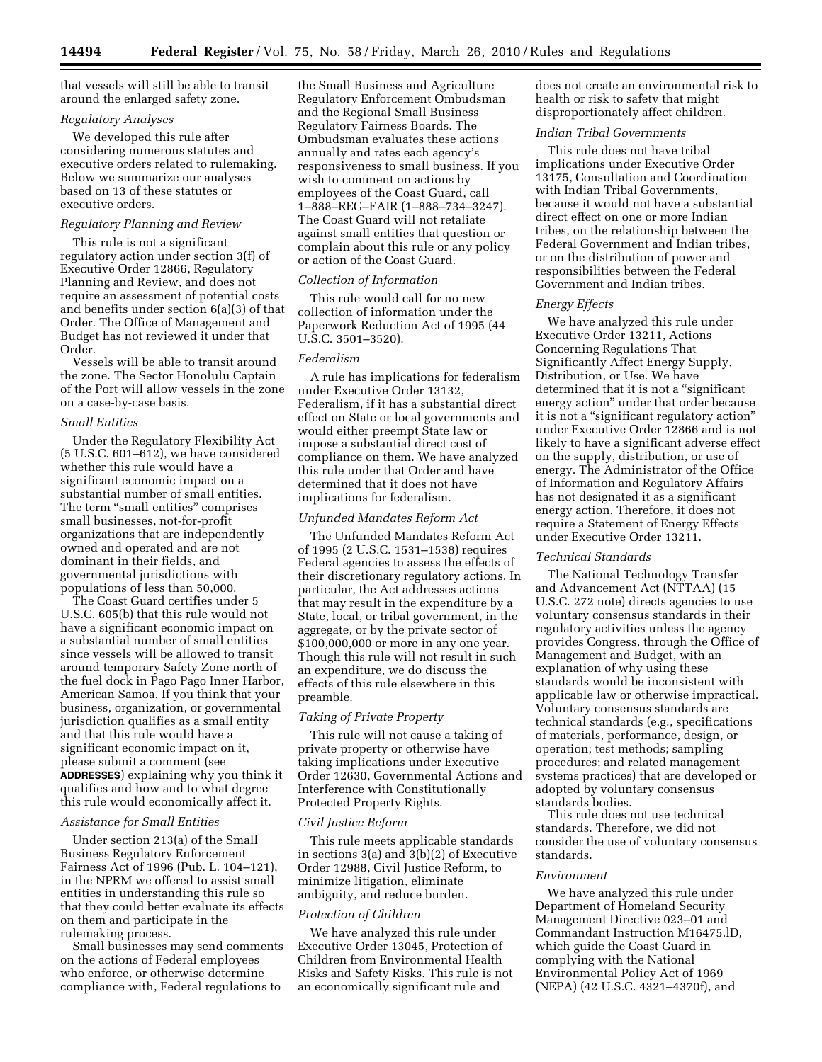that vessels will still be able to transit around the enlarged safety zone.

## *Regulatory Analyses*

We developed this rule after considering numerous statutes and executive orders related to rulemaking. Below we summarize our analyses based on 13 of these statutes or executive orders.

## *Regulatory Planning and Review*

This rule is not a significant regulatory action under section 3(f) of Executive Order 12866, Regulatory Planning and Review, and does not require an assessment of potential costs and benefits under section 6(a)(3) of that Order. The Office of Management and Budget has not reviewed it under that Order.

Vessels will be able to transit around the zone. The Sector Honolulu Captain of the Port will allow vessels in the zone on a case-by-case basis.

### *Small Entities*

Under the Regulatory Flexibility Act (5 U.S.C. 601–612), we have considered whether this rule would have a significant economic impact on a substantial number of small entities. The term "small entities" comprises small businesses, not-for-profit organizations that are independently owned and operated and are not dominant in their fields, and governmental jurisdictions with populations of less than 50,000.

The Coast Guard certifies under 5 U.S.C. 605(b) that this rule would not have a significant economic impact on a substantial number of small entities since vessels will be allowed to transit around temporary Safety Zone north of the fuel dock in Pago Pago Inner Harbor, American Samoa. If you think that your business, organization, or governmental jurisdiction qualifies as a small entity and that this rule would have a significant economic impact on it, please submit a comment (see **ADDRESSES**) explaining why you think it qualifies and how and to what degree this rule would economically affect it.

### *Assistance for Small Entities*

Under section 213(a) of the Small Business Regulatory Enforcement Fairness Act of 1996 (Pub. L. 104–121), in the NPRM we offered to assist small entities in understanding this rule so that they could better evaluate its effects on them and participate in the rulemaking process.

Small businesses may send comments on the actions of Federal employees who enforce, or otherwise determine compliance with, Federal regulations to

the Small Business and Agriculture Regulatory Enforcement Ombudsman and the Regional Small Business Regulatory Fairness Boards. The Ombudsman evaluates these actions annually and rates each agency's responsiveness to small business. If you wish to comment on actions by employees of the Coast Guard, call 1–888–REG–FAIR (1–888–734–3247). The Coast Guard will not retaliate against small entities that question or complain about this rule or any policy or action of the Coast Guard.

### *Collection of Information*

This rule would call for no new collection of information under the Paperwork Reduction Act of 1995 (44 U.S.C. 3501–3520).

## *Federalism*

A rule has implications for federalism under Executive Order 13132, Federalism, if it has a substantial direct effect on State or local governments and would either preempt State law or impose a substantial direct cost of compliance on them. We have analyzed this rule under that Order and have determined that it does not have implications for federalism.

### *Unfunded Mandates Reform Act*

The Unfunded Mandates Reform Act of 1995 (2 U.S.C. 1531–1538) requires Federal agencies to assess the effects of their discretionary regulatory actions. In particular, the Act addresses actions that may result in the expenditure by a State, local, or tribal government, in the aggregate, or by the private sector of \$100,000,000 or more in any one year. Though this rule will not result in such an expenditure, we do discuss the effects of this rule elsewhere in this preamble.

### *Taking of Private Property*

This rule will not cause a taking of private property or otherwise have taking implications under Executive Order 12630, Governmental Actions and Interference with Constitutionally Protected Property Rights.

#### *Civil Justice Reform*

This rule meets applicable standards in sections 3(a) and 3(b)(2) of Executive Order 12988, Civil Justice Reform, to minimize litigation, eliminate ambiguity, and reduce burden.

# *Protection of Children*

We have analyzed this rule under Executive Order 13045, Protection of Children from Environmental Health Risks and Safety Risks. This rule is not an economically significant rule and

does not create an environmental risk to health or risk to safety that might disproportionately affect children.

# *Indian Tribal Governments*

This rule does not have tribal implications under Executive Order 13175, Consultation and Coordination with Indian Tribal Governments, because it would not have a substantial direct effect on one or more Indian tribes, on the relationship between the Federal Government and Indian tribes, or on the distribution of power and responsibilities between the Federal Government and Indian tribes.

### *Energy Effects*

We have analyzed this rule under Executive Order 13211, Actions Concerning Regulations That Significantly Affect Energy Supply, Distribution, or Use. We have determined that it is not a "significant energy action'' under that order because it is not a ''significant regulatory action'' under Executive Order 12866 and is not likely to have a significant adverse effect on the supply, distribution, or use of energy. The Administrator of the Office of Information and Regulatory Affairs has not designated it as a significant energy action. Therefore, it does not require a Statement of Energy Effects under Executive Order 13211.

### *Technical Standards*

The National Technology Transfer and Advancement Act (NTTAA) (15 U.S.C. 272 note) directs agencies to use voluntary consensus standards in their regulatory activities unless the agency provides Congress, through the Office of Management and Budget, with an explanation of why using these standards would be inconsistent with applicable law or otherwise impractical. Voluntary consensus standards are technical standards (e.g., specifications of materials, performance, design, or operation; test methods; sampling procedures; and related management systems practices) that are developed or adopted by voluntary consensus standards bodies.

This rule does not use technical standards. Therefore, we did not consider the use of voluntary consensus standards.

### *Environment*

We have analyzed this rule under Department of Homeland Security Management Directive 023–01 and Commandant Instruction M16475.lD, which guide the Coast Guard in complying with the National Environmental Policy Act of 1969 (NEPA) (42 U.S.C. 4321–4370f), and